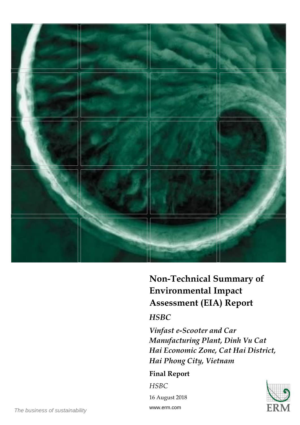

# **Non-Technical Summary of Environmental Impact Assessment (EIA) Report**

## *HSBC*

*Vinfast e-Scooter and Car Manufacturing Plant, Dinh Vu Cat Hai Economic Zone, Cat Hai District, Hai Phong City, Vietnam* 

## **Final Report**

*HSBC* 

16 August 2018 www.erm.com



*The business of sustainability*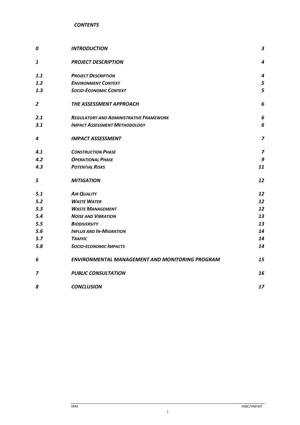| 0   | <b>INTRODUCTION</b>                                    | 3              |
|-----|--------------------------------------------------------|----------------|
| 1   | <b>PROJECT DESCRIPTION</b>                             | 4              |
| 1.1 | <b>PROJECT DESCRIPTION</b>                             | 4              |
| 1.2 | <b>ENVIRONMENT CONTEXT</b>                             | 5              |
| 1.3 | <b>SOCIO-ECONOMIC CONTEXT</b>                          | 5              |
| 2   | THE ASSESSMENT APPROACH                                | 6              |
| 2.1 | <b>REGULATORY AND ADMINISTRATIVE FRAMEWORK</b>         | 6              |
| 3.1 | <b>IMPACT ASSESSMENT METHODOLOGY</b>                   | 6              |
| 4   | <b>IMPACT ASSESSMENT</b>                               | $\overline{z}$ |
| 4.1 | <b>CONSTRUCTION PHASE</b>                              | $\overline{z}$ |
| 4.2 | <b>OPERATIONAL PHASE</b>                               | 9              |
| 4.3 | <b>POTENTIAL RISKS</b>                                 | 11             |
| 5   | <b>MITIGATION</b>                                      | 12             |
| 5.1 | <b>AIR QUALITY</b>                                     | 12             |
| 5.2 | <b>WASTE WATER</b>                                     | 12             |
| 5.3 | <b>WASTE MANAGEMENT</b>                                | 12             |
| 5.4 | <b>NOISE AND VIBRATION</b>                             | 13             |
| 5.5 | <b>BIODIVERSITY</b>                                    | 13             |
| 5.6 | <b>INFLUX AND IN-MIGRATION</b>                         | 14             |
| 5.7 | <b>TRAFFIC</b>                                         | 14             |
| 5.8 | <b>SOCIO-ECONOMIC IMPACTS</b>                          | 14             |
| 6   | <b>ENVIRONMENTAL MANAGEMENT AND MONITORING PROGRAM</b> | 15             |
| 7   | <b>PUBLIC CONSULTATION</b>                             | 16             |
| 8   | <b>CONCLUSION</b>                                      | 17             |

I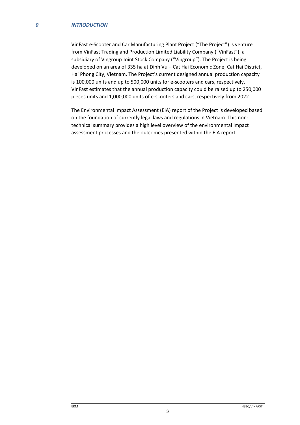#### *0 INTRODUCTION*

VinFast e-Scooter and Car Manufacturing Plant Project ("The Project") is venture from VinFast Trading and Production Limited Liability Company ("VinFast"), a subsidiary of Vingroup Joint Stock Company ("Vingroup"). The Project is being developed on an area of 335 ha at Dinh Vu – Cat Hai Economic Zone, Cat Hai District, Hai Phong City, Vietnam. The Project's current designed annual production capacity is 100,000 units and up to 500,000 units for e-scooters and cars, respectively. VinFast estimates that the annual production capacity could be raised up to 250,000 pieces units and 1,000,000 units of e-scooters and cars, respectively from 2022.

The Environmental Impact Assessment (EIA) report of the Project is developed based on the foundation of currently legal laws and regulations in Vietnam. This nontechnical summary provides a high level overview of the environmental impact assessment processes and the outcomes presented within the EIA report.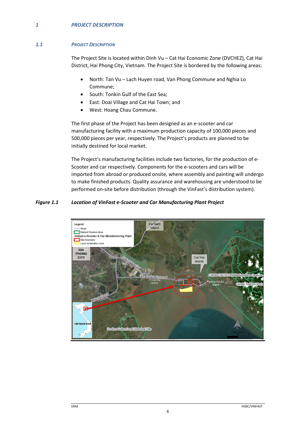## *1 PROJECT DESCRIPTION*

## *1.1 PROJECT DESCRIPTION*

The Project Site is located within Dinh Vu – Cat Hai Economic Zone (DVCHEZ), Cat Hai District, Hai Phong City, Vietnam. The Project Site is bordered by the following areas:

- North: Tan Vu Lach Huyen road, Van Phong Commune and Nghia Lo Commune;
- South: Tonkin Gulf of the East Sea;
- East: Doai Village and Cat Hai Town; and
- West: Hoang Chau Commune.

The first phase of the Project has been designed as an e-scooter and car manufacturing facility with a maximum production capacity of 100,000 pieces and 500,000 pieces per year, respectively. The Project's products are planned to be initially destined for local market.

The Project's manufacturing facilities include two factories, for the production of e-Scooter and car respectively. Components for the e-scooters and cars will be imported from abroad or produced onsite, where assembly and painting will undergo to make finished products. Quality assurance and warehousing are understood to be performed on-site before distribution (through the VinFast's distribution system).

## *Figure 1.1 Location of VinFast e-Scooter and Car Manufacturing Plant Project*

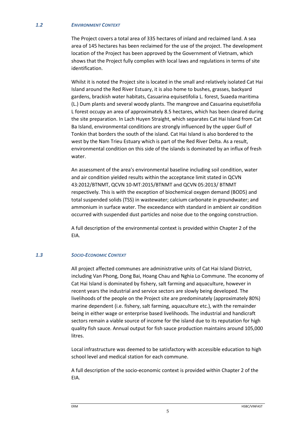#### *1.2 ENVIRONMENT CONTEXT*

The Project covers a total area of 335 hectares of inland and reclaimed land. A sea area of 145 hectares has been reclaimed for the use of the project. The development location of the Project has been approved by the Government of Vietnam, which shows that the Project fully complies with local laws and regulations in terms of site identification.

Whilst it is noted the Project site is located in the small and relatively isolated Cat Hai Island around the Red River Estuary, it is also home to bushes, grasses, backyard gardens, brackish water habitats, Casuarina equisetifolia L. forest, Suaeda maritima (L.) Dum plants and several woody plants. The mangrove and Casuarina equisetifolia L forest occupy an area of approximately 8.5 hectares, which has been cleared during the site preparation. In Lach Huyen Straight, which separates Cat Hai Island from Cat Ba Island, environmental conditions are strongly influenced by the upper Gulf of Tonkin that borders the south of the island. Cat Hai Island is also bordered to the west by the Nam Trieu Estuary which is part of the Red River Delta. As a result, environmental condition on this side of the islands is dominated by an influx of fresh water.

An assessment of the area's environmental baseline including soil condition, water and air condition yielded results within the acceptance limit stated in QCVN 43:2012/BTNMT, QCVN 10-MT:2015/BTNMT and QCVN 05:2013/ BTNMT respectively. This is with the exception of biochemical oxygen demand (BOD5) and total suspended solids (TSS) in wastewater; calcium carbonate in groundwater; and ammonium in surface water. The exceedance with standard in ambient air condition occurred with suspended dust particles and noise due to the ongoing construction.

A full description of the environmental context is provided within Chapter 2 of the EIA.

#### *1.3 SOCIO-ECONOMIC CONTEXT*

All project affected communes are administrative units of Cat Hai Island District, including Van Phong, Dong Bai, Hoang Chau and Nghia Lo Commune. The economy of Cat Hai Island is dominated by fishery, salt farming and aquaculture, however in recent years the industrial and service sectors are slowly being developed. The livelihoods of the people on the Project site are predominately (approximately 80%) marine dependent (i.e. fishery, salt farming, aquaculture etc.), with the remainder being in either wage or enterprise based livelihoods. The industrial and handicraft sectors remain a viable source of income for the island due to its reputation for high quality fish sauce. Annual output for fish sauce production maintains around 105,000 litres.

Local infrastructure was deemed to be satisfactory with accessible education to high school level and medical station for each commune.

A full description of the socio-economic context is provided within Chapter 2 of the EIA.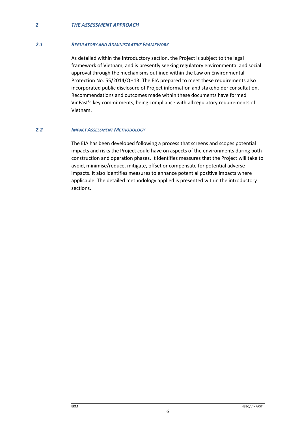## *2 THE ASSESSMENT APPROACH*

#### *2.1 REGULATORY AND ADMINISTRATIVE FRAMEWORK*

As detailed within the introductory section, the Project is subject to the legal framework of Vietnam, and is presently seeking regulatory environmental and social approval through the mechanisms outlined within the Law on Environmental Protection No. 55/2014/QH13. The EIA prepared to meet these requirements also incorporated public disclosure of Project information and stakeholder consultation. Recommendations and outcomes made within these documents have formed VinFast's key commitments, being compliance with all regulatory requirements of Vietnam.

#### *2.2 IMPACT ASSESSMENT METHODOLOGY*

The EIA has been developed following a process that screens and scopes potential impacts and risks the Project could have on aspects of the environments during both construction and operation phases. It identifies measures that the Project will take to avoid, minimise/reduce, mitigate, offset or compensate for potential adverse impacts. It also identifies measures to enhance potential positive impacts where applicable. The detailed methodology applied is presented within the introductory sections.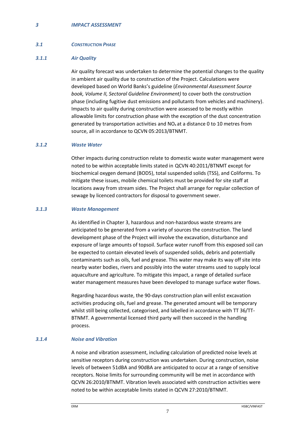#### *3 IMPACT ASSESSMENT*

#### *3.1 CONSTRUCTION PHASE*

## *3.1.1 Air Quality*

Air quality forecast was undertaken to determine the potential changes to the quality in ambient air quality due to construction of the Project. Calculations were developed based on World Banks's guideline (*Environmental Assessment Source book, Volume II, Sectoral Guideline Environment)* to cover both the construction phase (including fugitive dust emissions and pollutants from vehicles and machinery). Impacts to air quality during construction were assessed to be mostly within allowable limits for construction phase with the exception of the dust concentration generated by transportation activities and  $NO<sub>x</sub>$  at a distance 0 to 10 metres from source, all in accordance to QCVN 05:2013/BTNMT.

## *3.1.2 Waste Water*

Other impacts during construction relate to domestic waste water management were noted to be within acceptable limits stated in QCVN 40:2011/BTNMT except for biochemical oxygen demand (BOD5), total suspended solids (TSS), and Coliforms. To mitigate these issues, mobile chemical toilets must be provided for site staff at locations away from stream sides. The Project shall arrange for regular collection of sewage by licenced contractors for disposal to government sewer.

#### *3.1.3 Waste Management*

As identified in Chapter 3, hazardous and non-hazardous waste streams are anticipated to be generated from a variety of sources the construction. The land development phase of the Project will involve the excavation, disturbance and exposure of large amounts of topsoil. Surface water runoff from this exposed soil can be expected to contain elevated levels of suspended solids, debris and potentially contaminants such as oils, fuel and grease. This water may make its way off site into nearby water bodies, rivers and possibly into the water streams used to supply local aquaculture and agriculture. To mitigate this impact, a range of detailed surface water management measures have been developed to manage surface water flows.

Regarding hazardous waste, the 90-days construction plan will enlist excavation activities producing oils, fuel and grease. The generated amount will be temporary whilst still being collected, categorised, and labelled in accordance with TT 36/TT-BTNMT. A governmental licensed third party will then succeed in the handling process.

## *3.1.4 Noise and Vibration*

A noise and vibration assessment, including calculation of predicted noise levels at sensitive receptors during construction was undertaken. During construction, noise levels of between 51dBA and 90dBA are anticipated to occur at a range of sensitive receptors. Noise limits for surrounding community will be met in accordance with QCVN 26:2010/BTNMT. Vibration levels associated with construction activities were noted to be within acceptable limits stated in QCVN 27:2010/BTNMT.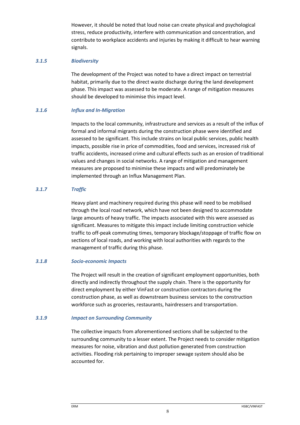However, it should be noted that loud noise can create physical and psychological stress, reduce productivity, interfere with communication and concentration, and contribute to workplace accidents and injuries by making it difficult to hear warning signals.

## *3.1.5 Biodiversity*

The development of the Project was noted to have a direct impact on terrestrial habitat, primarily due to the direct waste discharge during the land development phase. This impact was assessed to be moderate. A range of mitigation measures should be developed to minimise this impact level.

## *3.1.6 Influx and In-Migration*

Impacts to the local community, infrastructure and services as a result of the influx of formal and informal migrants during the construction phase were identified and assessed to be significant. This include strains on local public services, public health impacts, possible rise in price of commodities, food and services, increased risk of traffic accidents, increased crime and cultural effects such as an erosion of traditional values and changes in social networks. A range of mitigation and management measures are proposed to minimise these impacts and will predominately be implemented through an Influx Management Plan.

## *3.1.7 Traffic*

Heavy plant and machinery required during this phase will need to be mobilised through the local road network, which have not been designed to accommodate large amounts of heavy traffic. The impacts associated with this were assessed as significant. Measures to mitigate this impact include limiting construction vehicle traffic to off-peak commuting times, temporary blockage/stoppage of traffic flow on sections of local roads, and working with local authorities with regards to the management of traffic during this phase.

## *3.1.8 Socio-economic Impacts*

The Project will result in the creation of significant employment opportunities, both directly and indirectly throughout the supply chain. There is the opportunity for direct employment by either VinFast or construction contractors during the construction phase, as well as downstream business services to the construction workforce such as groceries, restaurants, hairdressers and transportation.

## *3.1.9 Impact on Surrounding Community*

The collective impacts from aforementioned sections shall be subjected to the surrounding community to a lesser extent. The Project needs to consider mitigation measures for noise, vibration and dust pollution generated from construction activities. Flooding risk pertaining to improper sewage system should also be accounted for.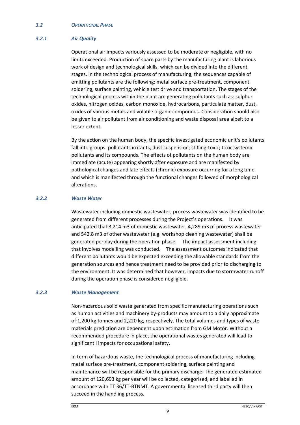#### *3.2 OPERATIONAL PHASE*

## *3.2.1 Air Quality*

Operational air impacts variously assessed to be moderate or negligible, with no limits exceeded. Production of spare parts by the manufacturing plant is laborious work of design and technological skills, which can be divided into the different stages. In the technological process of manufacturing, the sequences capable of emitting pollutants are the following: metal surface pre-treatment, component soldering, surface painting, vehicle test drive and transportation. The stages of the technological process within the plant are generating pollutants such as: sulphur oxides, nitrogen oxides, carbon monoxide, hydrocarbons, particulate matter, dust, oxides of various metals and volatile organic compounds. Consideration should also be given to air pollutant from air conditioning and waste disposal area albeit to a lesser extent.

By the action on the human body, the specific investigated economic unit's pollutants fall into groups: pollutants irritants, dust suspension; stifling-toxic; toxic systemic pollutants and its compounds. The effects of pollutants on the human body are immediate (acute) appearing shortly after exposure and are manifested by pathological changes and late effects (chronic) exposure occurring for a long time and which is manifested through the functional changes followed of morphological alterations.

## *3.2.2 Waste Water*

Wastewater including domestic wastewater, process wastewater was identified to be generated from different processes during the Project's operations. It was anticipated that 3,214 m3 of domestic wastewater, 4,289 m3 of process wastewater and 542.8 m3 of other wastewater (e.g. workshop cleaning wastewater) shall be generated per day during the operation phase. The impact assessment including that involves modelling was conducted. The assessment outcomes indicated that different pollutants would be expected exceeding the allowable standards from the generation sources and hence treatment need to be provided prior to discharging to the environment. It was determined that however, impacts due to stormwater runoff during the operation phase is considered negligible.

## *3.2.3 Waste Management*

Non-hazardous solid waste generated from specific manufacturing operations such as human activities and machinery by-products may amount to a daily approximate of 1,200 kg tonnes and 2,220 kg, respectively. The total volumes and types of waste materials prediction are dependent upon estimation from GM Motor. Without a recommended procedure in place, the operational wastes generated will lead to significant l impacts for occupational safety.

In term of hazardous waste, the technological process of manufacturing including metal surface pre-treatment, component soldering, surface painting and maintenance will be responsible for the primary discharge. The generated estimated amount of 120,693 kg per year will be collected, categorised, and labelled in accordance with TT 36/TT-BTNMT. A governmental licensed third party will then succeed in the handling process.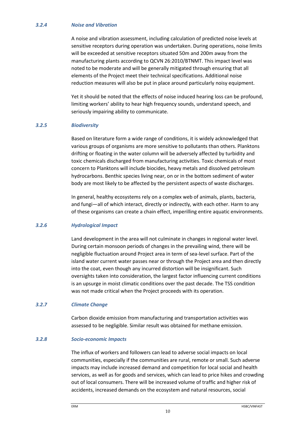## *3.2.4 Noise and Vibration*

A noise and vibration assessment, including calculation of predicted noise levels at sensitive receptors during operation was undertaken. During operations, noise limits will be exceeded at sensitive receptors situated 50m and 200m away from the manufacturing plants according to QCVN 26:2010/BTNMT. This impact level was noted to be moderate and will be generally mitigated through ensuring that all elements of the Project meet their technical specifications. Additional noise reduction measures will also be put in place around particularly noisy equipment.

Yet it should be noted that the effects of noise induced hearing loss can be profound, limiting workers' ability to hear high frequency sounds, understand speech, and seriously impairing ability to communicate.

## *3.2.5 Biodiversity*

Based on literature form a wide range of conditions, it is widely acknowledged that various groups of organisms are more sensitive to pollutants than others. Planktons drifting or floating in the water column will be adversely affected by turbidity and toxic chemicals discharged from manufacturing activities. Toxic chemicals of most concern to Planktons will include biocides, heavy metals and dissolved petroleum hydrocarbons. Benthic species living near, on or in the bottom sediment of water body are most likely to be affected by the persistent aspects of waste discharges.

In general, healthy ecosystems rely on a complex web of animals, plants, bacteria, and fungi—all of which interact, directly or indirectly, with each other. Harm to any of these organisms can create a chain effect, imperilling entire aquatic environments.

## *3.2.6 Hydrological Impact*

Land development in the area will not culminate in changes in regional water level. During certain monsoon periods of changes in the prevailing wind, there will be negligible fluctuation around Project area in term of sea-level surface. Part of the island water current water passes near or through the Project area and then directly into the coat, even though any incurred distortion will be insignificant. Such oversights taken into consideration, the largest factor influencing current conditions is an upsurge in moist climatic conditions over the past decade. The TSS condition was not made critical when the Project proceeds with its operation.

#### *3.2.7 Climate Change*

Carbon dioxide emission from manufacturing and transportation activities was assessed to be negligible. Similar result was obtained for methane emission.

## *3.2.8 Socio-economic Impacts*

The influx of workers and followers can lead to adverse social impacts on local communities, especially if the communities are rural, remote or small. Such adverse impacts may include increased demand and competition for local social and health services, as well as for goods and services, which can lead to price hikes and crowding out of local consumers. There will be increased volume of traffic and higher risk of accidents, increased demands on the ecosystem and natural resources, social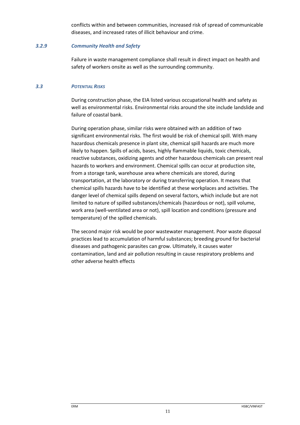conflicts within and between communities, increased risk of spread of communicable diseases, and increased rates of illicit behaviour and crime.

## *3.2.9 Community Health and Safety*

Failure in waste management compliance shall result in direct impact on health and safety of workers onsite as well as the surrounding community.

## *3.3 POTENTIAL RISKS*

During construction phase, the EIA listed various occupational health and safety as well as environmental risks. Environmental risks around the site include landslide and failure of coastal bank.

During operation phase, similar risks were obtained with an addition of two significant environmental risks. The first would be risk of chemical spill. With many hazardous chemicals presence in plant site, chemical spill hazards are much more likely to happen. Spills of acids, bases, highly flammable liquids, toxic chemicals, reactive substances, oxidizing agents and other hazardous chemicals can present real hazards to workers and environment. Chemical spills can occur at production site, from a storage tank, warehouse area where chemicals are stored, during transportation, at the laboratory or during transferring operation. It means that chemical spills hazards have to be identified at these workplaces and activities. The danger level of chemical spills depend on several factors, which include but are not limited to nature of spilled substances/chemicals (hazardous or not), spill volume, work area (well-ventilated area or not), spill location and conditions (pressure and temperature) of the spilled chemicals.

The second major risk would be poor wastewater management. Poor waste disposal practices lead to accumulation of harmful substances; breeding ground for bacterial diseases and pathogenic parasites can grow. Ultimately, it causes water contamination, land and air pollution resulting in cause respiratory problems and other adverse health effects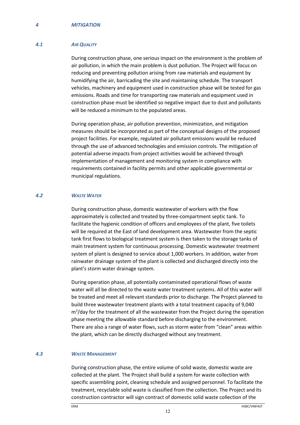#### *4.1 AIR QUALITY*

During construction phase, one serious impact on the environment is the problem of air pollution, in which the main problem is dust pollution. The Project will focus on reducing and preventing pollution arising from raw materials and equipment by humidifying the air, barricading the site and maintaining schedule. The transport vehicles, machinery and equipment used in construction phase will be tested for gas emissions. Roads and time for transporting raw materials and equipment used in construction phase must be identified so negative impact due to dust and pollutants will be reduced a minimum to the populated areas.

During operation phase, air pollution prevention, minimization, and mitigation measures should be incorporated as part of the conceptual designs of the proposed project facilities. For example, regulated air pollutant emissions would be reduced through the use of advanced technologies and emission controls. The mitigation of potential adverse impacts from project activities would be achieved through implementation of management and monitoring system in compliance with requirements contained in facility permits and other applicable governmental or municipal regulations.

#### *4.2 WASTE WATER*

During construction phase, domestic wastewater of workers with the flow approximately is collected and treated by three-compartment septic tank. To facilitate the hygienic condition of officers and employees of the plant, five toilets will be required at the East of land development area. Wastewater from the septic tank first flows to biological treatment system is then taken to the storage tanks of main treatment system for continuous processing. Domestic wastewater treatment system of plant is designed to service about 1,000 workers. In addition, water from rainwater drainage system of the plant is collected and discharged directly into the plant's storm water drainage system.

During operation phase, all potentially contaminated operational flows of waste water will all be directed to the waste water treatment systems. All of this water will be treated and meet all relevant standards prior to discharge. The Project planned to build three wastewater treatment plants with a total treatment capacity of 9,040 m<sup>3</sup>/day for the treatment of all the wastewater from the Project during the operation phase meeting the allowable standard before discharging to the environment. There are also a range of water flows, such as storm water from "clean" areas within the plant, which can be directly discharged without any treatment.

#### *4.3 WASTE MANAGEMENT*

During construction phase, the entire volume of solid waste, domestic waste are collected at the plant. The Project shall build a system for waste collection with specific assembling point, cleaning schedule and assigned personnel. To facilitate the treatment, recyclable solid waste is classified from the collection. The Project and its construction contractor will sign contract of domestic solid waste collection of the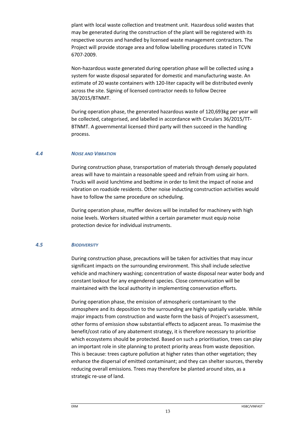plant with local waste collection and treatment unit. Hazardous solid wastes that may be generated during the construction of the plant will be registered with its respective sources and handled by licensed waste management contractors. The Project will provide storage area and follow labelling procedures stated in TCVN 6707-2009.

Non-hazardous waste generated during operation phase will be collected using a system for waste disposal separated for domestic and manufacturing waste. An estimate of 20 waste containers with 120-liter capacity will be distributed evenly across the site. Signing of licensed contractor needs to follow Decree 38/2015/BTNMT.

During operation phase, the generated hazardous waste of 120,693kg per year will be collected, categorised, and labelled in accordance with Circulars 36/2015/TT-BTNMT. A governmental licensed third party will then succeed in the handling process.

#### *4.4 NOISE AND VIBRATION*

During construction phase, transportation of materials through densely populated areas will have to maintain a reasonable speed and refrain from using air horn. Trucks will avoid lunchtime and bedtime in order to limit the impact of noise and vibration on roadside residents. Other noise inducting construction activities would have to follow the same procedure on scheduling.

During operation phase, muffler devices will be installed for machinery with high noise levels. Workers situated within a certain parameter must equip noise protection device for individual instruments.

#### *4.5 BIODIVERSITY*

During construction phase, precautions will be taken for activities that may incur significant impacts on the surrounding environment. This shall include selective vehicle and machinery washing; concentration of waste disposal near water body and constant lookout for any engendered species. Close communication will be maintained with the local authority in implementing conservation efforts.

During operation phase, the emission of atmospheric contaminant to the atmosphere and its deposition to the surrounding are highly spatially variable. While major impacts from construction and waste form the basis of Project's assessment, other forms of emission show substantial effects to adjacent areas. To maximise the benefit/cost ratio of any abatement strategy, it is therefore necessary to prioritise which ecosystems should be protected. Based on such a prioritisation, trees can play an important role in site planning to protect priority areas from waste deposition. This is because: trees capture pollution at higher rates than other vegetation; they enhance the dispersal of emitted contaminant; and they can shelter sources, thereby reducing overall emissions. Trees may therefore be planted around sites, as a strategic re-use of land.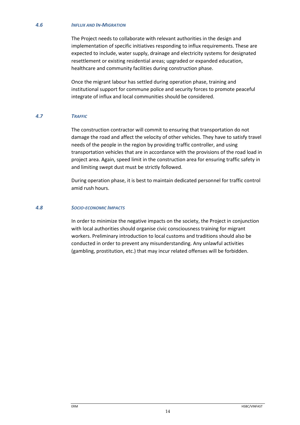#### *4.6 INFLUX AND IN-MIGRATION*

The Project needs to collaborate with relevant authorities in the design and implementation of specific initiatives responding to influx requirements. These are expected to include, water supply, drainage and electricity systems for designated resettlement or existing residential areas; upgraded or expanded education, healthcare and community facilities during construction phase.

Once the migrant labour has settled during operation phase, training and institutional support for commune police and security forces to promote peaceful integrate of influx and local communities should be considered.

## *4.7 TRAFFIC*

The construction contractor will commit to ensuring that transportation do not damage the road and affect the velocity of other vehicles. They have to satisfy travel needs of the people in the region by providing traffic controller, and using transportation vehicles that are in accordance with the provisions of the road load in project area. Again, speed limit in the construction area for ensuring traffic safety in and limiting swept dust must be strictly followed.

During operation phase, it is best to maintain dedicated personnel for traffic control amid rush hours.

### *4.8 SOCIO-ECONOMIC IMPACTS*

In order to minimize the negative impacts on the society, the Project in conjunction with local authorities should organise civic consciousness training for migrant workers. Preliminary introduction to local customs and traditions should also be conducted in order to prevent any misunderstanding. Any unlawful activities (gambling, prostitution, etc.) that may incur related offenses will be forbidden.

14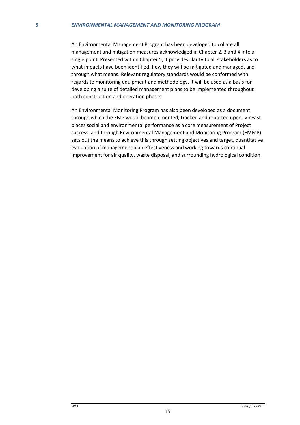#### *5 ENVIRONMENTAL MANAGEMENT AND MONITORING PROGRAM*

An Environmental Management Program has been developed to collate all management and mitigation measures acknowledged in Chapter 2, 3 and 4 into a single point. Presented within Chapter 5, it provides clarity to all stakeholders as to what impacts have been identified, how they will be mitigated and managed, and through what means. Relevant regulatory standards would be conformed with regards to monitoring equipment and methodology. It will be used as a basis for developing a suite of detailed management plans to be implemented throughout both construction and operation phases.

An Environmental Monitoring Program has also been developed as a document through which the EMP would be implemented, tracked and reported upon. VinFast places social and environmental performance as a core measurement of Project success, and through Environmental Management and Monitoring Program (EMMP) sets out the means to achieve this through setting objectives and target, quantitative evaluation of management plan effectiveness and working towards continual improvement for air quality, waste disposal, and surrounding hydrological condition.

15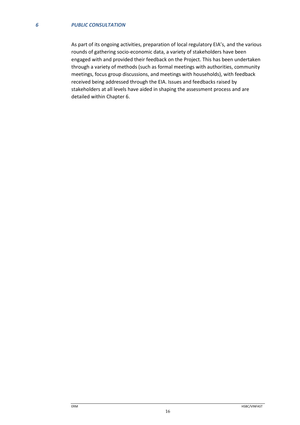As part of its ongoing activities, preparation of local regulatory EIA's, and the various rounds of gathering socio-economic data, a variety of stakeholders have been engaged with and provided their feedback on the Project. This has been undertaken through a variety of methods (such as formal meetings with authorities, community meetings, focus group discussions, and meetings with households), with feedback received being addressed through the EIA. Issues and feedbacks raised by stakeholders at all levels have aided in shaping the assessment process and are detailed within Chapter 6.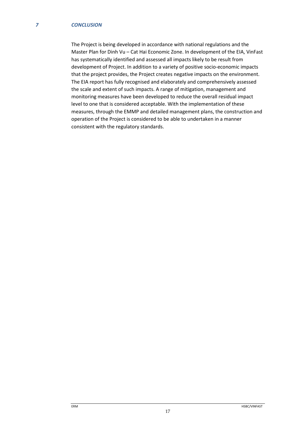The Project is being developed in accordance with national regulations and the Master Plan for Dinh Vu – Cat Hai Economic Zone. In development of the EIA, VinFast has systematically identified and assessed all impacts likely to be result from development of Project. In addition to a variety of positive socio-economic impacts that the project provides, the Project creates negative impacts on the environment. The EIA report has fully recognised and elaborately and comprehensively assessed the scale and extent of such impacts. A range of mitigation, management and monitoring measures have been developed to reduce the overall residual impact level to one that is considered acceptable. With the implementation of these measures, through the EMMP and detailed management plans, the construction and operation of the Project is considered to be able to undertaken in a manner consistent with the regulatory standards.

17